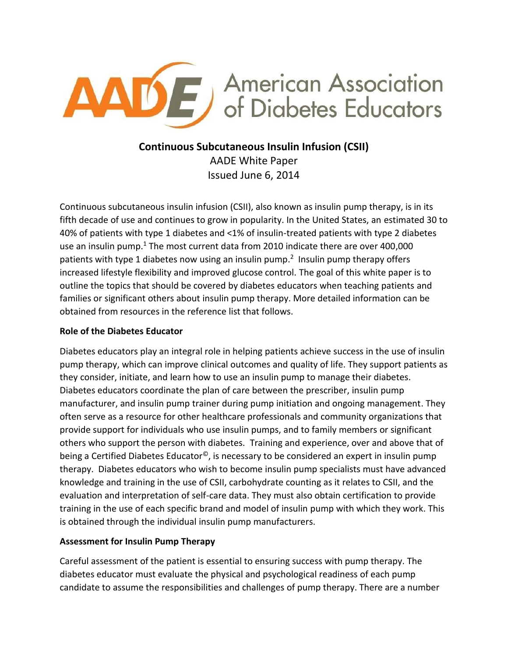

# **Continuous Subcutaneous Insulin Infusion (CSII)** AADE White Paper

Issued June 6, 2014

Continuous subcutaneous insulin infusion (CSII), also known as insulin pump therapy, is in its fifth decade of use and continues to grow in popularity. In the United States, an estimated 30 to 40% of patients with type 1 diabetes and <1% of insulin-treated patients with type 2 diabetes use an insulin pump.<sup>[1](#page-10-0)</sup> The most current data from 2010 indicate there are over 400,000 patients with type 1 diabetes now using an insulin pump.<sup>[2](#page-10-1)</sup> Insulin pump therapy offers increased lifestyle flexibility and improved glucose control. The goal of this white paper is to outline the topics that should be covered by diabetes educators when teaching patients and families or significant others about insulin pump therapy. More detailed information can be obtained from resources in the reference list that follows.

# **Role of the Diabetes Educator**

Diabetes educators play an integral role in helping patients achieve success in the use of insulin pump therapy, which can improve clinical outcomes and quality of life. They support patients as they consider, initiate, and learn how to use an insulin pump to manage their diabetes. Diabetes educators coordinate the plan of care between the prescriber, insulin pump manufacturer, and insulin pump trainer during pump initiation and ongoing management. They often serve as a resource for other healthcare professionals and community organizations that provide support for individuals who use insulin pumps, and to family members or significant others who support the person with diabetes. Training and experience, over and above that of being a Certified Diabetes Educator<sup>©</sup>, is necessary to be considered an expert in insulin pump therapy. Diabetes educators who wish to become insulin pump specialists must have advanced knowledge and training in the use of CSII, carbohydrate counting as it relates to CSII, and the evaluation and interpretation of self-care data. They must also obtain certification to provide training in the use of each specific brand and model of insulin pump with which they work. This is obtained through the individual insulin pump manufacturers.

# **Assessment for Insulin Pump Therapy**

Careful assessment of the patient is essential to ensuring success with pump therapy. The diabetes educator must evaluate the physical and psychological readiness of each pump candidate to assume the responsibilities and challenges of pump therapy. There are a number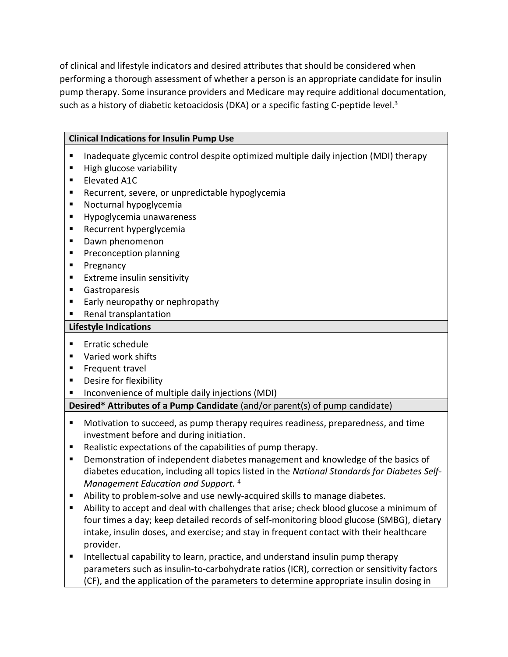of clinical and lifestyle indicators and desired attributes that should be considered when performing a thorough assessment of whether a person is an appropriate candidate for insulin pump therapy. Some insurance providers and Medicare may require additional documentation, such as a history of diabetic ketoacidosis (DKA) or a specific fasting C-peptide level.<sup>[3](#page-10-2)</sup>

## **Clinical Indications for Insulin Pump Use**

- Inadequate glycemic control despite optimized multiple daily injection (MDI) therapy
- **High glucose variability**
- **Elevated A1C**
- **Recurrent, severe, or unpredictable hypoglycemia**
- **Nocturnal hypoglycemia**
- **Hypoglycemia unawareness**
- **Recurrent hyperglycemia**
- **Dawn phenomenon**
- **Preconception planning**
- **Pregnancy**
- **Extreme insulin sensitivity**
- **Gastroparesis**
- **Early neuropathy or nephropathy**
- **Renal transplantation**

#### **Lifestyle Indications**

- $\blacksquare$  Frratic schedule
- **Varied work shifts**
- **Frequent travel**
- **Desire for flexibility**
- Inconvenience of multiple daily injections (MDI)

## **Desired\* Attributes of a Pump Candidate** (and/or parent(s) of pump candidate)

- Motivation to succeed, as pump therapy requires readiness, preparedness, and time investment before and during initiation.
- Realistic expectations of the capabilities of pump therapy.
- Demonstration of independent diabetes management and knowledge of the basics of diabetes education, including all topics listed in the *National Standards for Diabetes Self-Management Education and Support.* [4](#page-10-3)
- Ability to problem-solve and use newly-acquired skills to manage diabetes.
- Ability to accept and deal with challenges that arise; check blood glucose a minimum of four times a day; keep detailed records of self-monitoring blood glucose (SMBG), dietary intake, insulin doses, and exercise; and stay in frequent contact with their healthcare provider.
- **IF Intellectual capability to learn, practice, and understand insulin pump therapy** parameters such as insulin-to-carbohydrate ratios (ICR), correction or sensitivity factors (CF), and the application of the parameters to determine appropriate insulin dosing in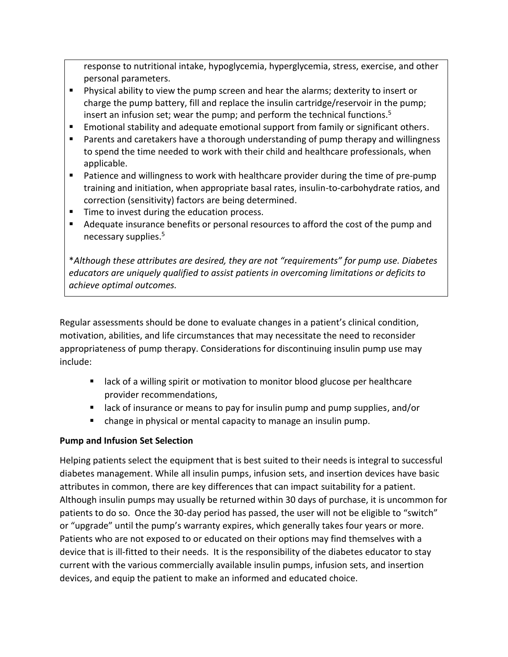response to nutritional intake, hypoglycemia, hyperglycemia, stress, exercise, and other personal parameters.

- **Physical ability to view the pump screen and hear the alarms; dexterity to insert or** charge the pump battery, fill and replace the insulin cartridge/reservoir in the pump; insert an infusion set; wear the pump; and perform the technical functions. 5
- **Emotional stability and adequate emotional support from family or significant others.**
- **Parents and caretakers have a thorough understanding of pump therapy and willingness** to spend the time needed to work with their child and healthcare professionals, when applicable.
- **Patience and willingness to work with healthcare provider during the time of pre-pump** training and initiation, when appropriate basal rates, insulin-to-carbohydrate ratios, and correction (sensitivity) factors are being determined.
- **Time to invest during the education process.**
- Adequate insurance benefits or personal resources to afford the cost of the pump and necessary supplies[.](#page-10-4) 5

\**Although these attributes are desired, they are not "requirements" for pump use. Diabetes educators are uniquely qualified to assist patients in overcoming limitations or deficits to achieve optimal outcomes.* 

Regular assessments should be done to evaluate changes in a patient's clinical condition, motivation, abilities, and life circumstances that may necessitate the need to reconsider appropriateness of pump therapy. Considerations for discontinuing insulin pump use may include:

- **EXECT** and a willing spirit or motivation to monitor blood glucose per healthcare provider recommendations,
- **E** lack of insurance or means to pay for insulin pump and pump supplies, and/or
- change in physical or mental capacity to manage an insulin pump.

# **Pump and Infusion Set Selection**

Helping patients select the equipment that is best suited to their needs is integral to successful diabetes management. While all insulin pumps, infusion sets, and insertion devices have basic attributes in common, there are key differences that can impact suitability for a patient. Although insulin pumps may usually be returned within 30 days of purchase, it is uncommon for patients to do so. Once the 30-day period has passed, the user will not be eligible to "switch" or "upgrade" until the pump's warranty expires, which generally takes four years or more. Patients who are not exposed to or educated on their options may find themselves with a device that is ill-fitted to their needs. It is the responsibility of the diabetes educator to stay current with the various commercially available insulin pumps, infusion sets, and insertion devices, and equip the patient to make an informed and educated choice.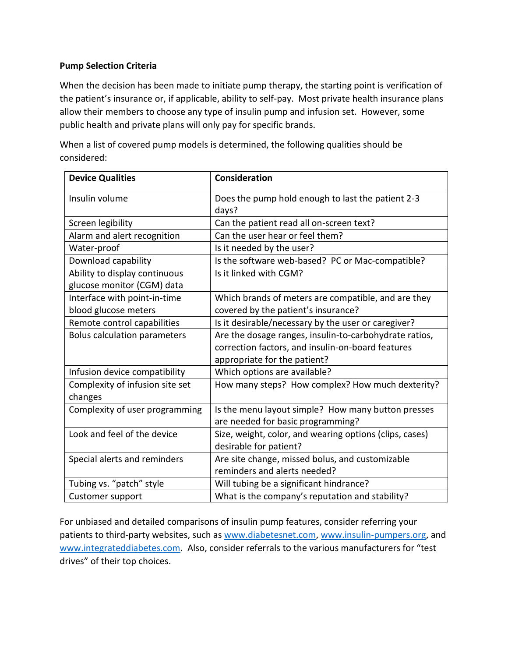#### **Pump Selection Criteria**

When the decision has been made to initiate pump therapy, the starting point is verification of the patient's insurance or, if applicable, ability to self-pay. Most private health insurance plans allow their members to choose any type of insulin pump and infusion set. However, some public health and private plans will only pay for specific brands.

**Device Qualities Consideration** Insulin volume  $\vert$  Does the pump hold enough to last the patient 2-3 days? Screen legibility  $\vert$  Can the patient read all on-screen text? Alarm and alert recognition  $\vert$  Can the user hear or feel them? Water-proof Is it needed by the user? Download capability **IS the software web-based? PC or Mac-compatible?** Ability to display continuous glucose monitor (CGM) data Is it linked with CGM? Interface with point-in-time blood glucose meters Which brands of meters are compatible, and are they covered by the patient's insurance? Remote control capabilities  $\vert$  is it desirable/necessary by the user or caregiver? Bolus calculation parameters  $\vert A$ re the dosage ranges, insulin-to-carbohydrate ratios, correction factors, and insulin-on-board features appropriate for the patient? Infusion device compatibility Which options are available? Complexity of infusion site set changes How many steps? How complex? How much dexterity? Complexity of user programming  $\parallel$  Is the menu layout simple? How many button presses are needed for basic programming? Look and feel of the device  $\vert$  Size, weight, color, and wearing options (clips, cases) desirable for patient? Special alerts and reminders  $\vert$  Are site change, missed bolus, and customizable reminders and alerts needed? Tubing vs. "patch" style  $\vert$  Will tubing be a significant hindrance? Customer support What is the company's reputation and stability?

When a list of covered pump models is determined, the following qualities should be considered:

For unbiased and detailed comparisons of insulin pump features, consider referring your patients to third-party websites, such as [www.diabetesnet.com,](http://www.diabetesnet.com/) [www.insulin-pumpers.org,](http://www.insulin-pumpers.org/) and [www.integrateddiabetes.com.](http://www.integrateddiabetes.com/) Also, consider referrals to the various manufacturers for "test drives" of their top choices.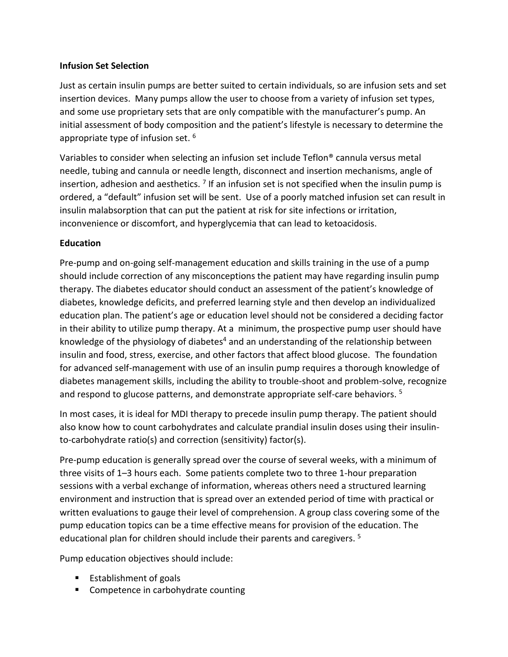#### **Infusion Set Selection**

Just as certain insulin pumps are better suited to certain individuals, so are infusion sets and set insertion devices. Many pumps allow the user to choose from a variety of infusion set types, and some use proprietary sets that are only compatible with the manufacturer's pump. An initial assessment of body composition and the patient's lifestyle is necessary to determine the appropriate type of infusion set.  $^6$  $^6$ 

Variables to consider when selecting an infusion set include Teflon® cannula versus metal needle, tubing and cannula or needle length, disconnect and insertion mechanisms, angle of insertion, adhesion and aesthetics.  $^7$  $^7$  If an infusion set is not specified when the insulin pump is ordered, a "default" infusion set will be sent. Use of a poorly matched infusion set can result in insulin malabsorption that can put the patient at risk for site infections or irritation, inconvenience or discomfort, and hyperglycemia that can lead to ketoacidosis.

## **Education**

Pre-pump and on-going self-management education and skills training in the use of a pump should include correction of any misconceptions the patient may have regarding insulin pump therapy. The diabetes educator should conduct an assessment of the patient's knowledge of diabetes, knowledge deficits, and preferred learning style and then develop an individualized education plan. The patient's age or education level should not be considered a deciding factor in their ability to utilize pump therapy. At a minimum, the prospective pump user should have knowledge of the physiology of diabetes<sup>[4](#page-10-3)</sup> and an understanding of the relationship between insulin and food, stress, exercise, and other factors that affect blood glucose. The foundation for advanced self-management with use of an insulin pump requires a thorough knowledge of diabetes management skills, including the ability to trouble-shoot and problem-solve, recognize and respond to glucose patterns, and demonstrate appropriate self-care behaviors.<sup>[5](#page-10-4)</sup>

In most cases, it is ideal for MDI therapy to precede insulin pump therapy. The patient should also know how to count carbohydrates and calculate prandial insulin doses using their insulinto-carbohydrate ratio(s) and correction (sensitivity) factor(s).

Pre-pump education is generally spread over the course of several weeks, with a minimum of three visits of 1–3 hours each. Some patients complete two to three 1-hour preparation sessions with a verbal exchange of information, whereas others need a structured learning environment and instruction that is spread over an extended period of time with practical or written evaluations to gauge their level of comprehension. A group class covering some of the pump education topics can be a time effective means for provision of the education. The educational plan for children should include their parents and caregivers. [5](#page-10-4)

Pump education objectives should include:

- $\blacksquare$  Establishment of goals
- **EXECOMPETENCE COMPTER** COMPETED: **COMPTER**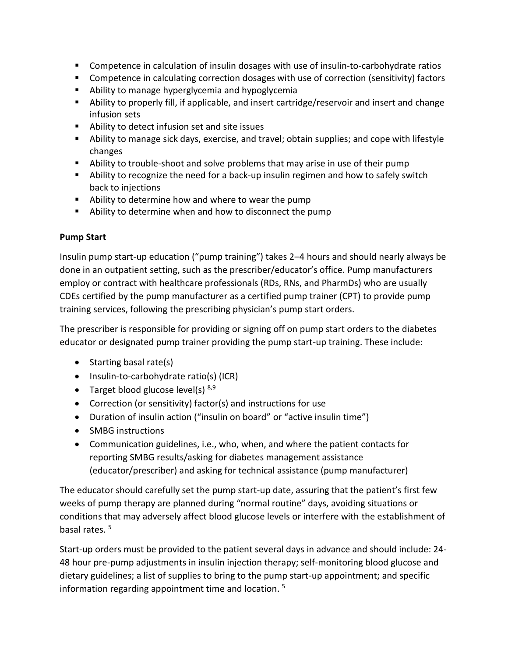- Competence in calculation of insulin dosages with use of insulin-to-carbohydrate ratios
- Competence in calculating correction dosages with use of correction (sensitivity) factors
- **E** Ability to manage hyperglycemia and hypoglycemia
- Ability to properly fill, if applicable, and insert cartridge/reservoir and insert and change infusion sets
- Ability to detect infusion set and site issues
- Ability to manage sick days, exercise, and travel; obtain supplies; and cope with lifestyle changes
- Ability to trouble-shoot and solve problems that may arise in use of their pump
- **•** Ability to recognize the need for a back-up insulin regimen and how to safely switch back to injections
- Ability to determine how and where to wear the pump
- Ability to determine when and how to disconnect the pump

## **Pump Start**

Insulin pump start-up education ("pump training") takes 2–4 hours and should nearly always be done in an outpatient setting, such as the prescriber/educator's office. Pump manufacturers employ or contract with healthcare professionals (RDs, RNs, and PharmDs) who are usually CDEs certified by the pump manufacturer as a certified pump trainer (CPT) to provide pump training services, following the prescribing physician's pump start orders.

The prescriber is responsible for providing or signing off on pump start orders to the diabetes educator or designated pump trainer providing the pump start-up training. These include:

- $\bullet$  Starting basal rate(s)
- Insulin-to-carbohydrate ratio(s) (ICR)
- Target blood glucose level(s)  $8,9$  $8,9$
- Correction (or sensitivity) factor(s) and instructions for use
- Duration of insulin action ("insulin on board" or "active insulin time")
- SMBG instructions
- Communication guidelines, i.e., who, when, and where the patient contacts for reporting SMBG results/asking for diabetes management assistance (educator/prescriber) and asking for technical assistance (pump manufacturer)

The educator should carefully set the pump start-up date, assuring that the patient's first few weeks of pump therapy are planned during "normal routine" days, avoiding situations or conditions that may adversely affect blood glucose levels or interfere with the establishment of basal rates. [5](#page-10-4)

Start-up orders must be provided to the patient several days in advance and should include: 24- 48 hour pre-pump adjustments in insulin injection therapy; self-monitoring blood glucose and dietary guidelines; a list of supplies to bring to the pump start-up appointment; and specific information regarding appointment time and location. [5](#page-10-4)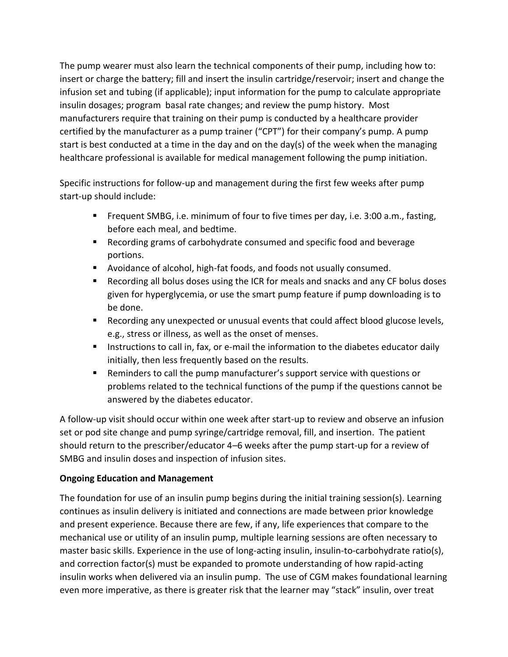The pump wearer must also learn the technical components of their pump, including how to: insert or charge the battery; fill and insert the insulin cartridge/reservoir; insert and change the infusion set and tubing (if applicable); input information for the pump to calculate appropriate insulin dosages; program basal rate changes; and review the pump history. Most manufacturers require that training on their pump is conducted by a healthcare provider certified by the manufacturer as a pump trainer ("CPT") for their company's pump. A pump start is best conducted at a time in the day and on the day(s) of the week when the managing healthcare professional is available for medical management following the pump initiation.

Specific instructions for follow-up and management during the first few weeks after pump start-up should include:

- Frequent SMBG, i.e. minimum of four to five times per day, i.e. 3:00 a.m., fasting, before each meal, and bedtime.
- Recording grams of carbohydrate consumed and specific food and beverage portions.
- Avoidance of alcohol, high-fat foods, and foods not usually consumed.
- Recording all bolus doses using the ICR for meals and snacks and any CF bolus doses given for hyperglycemia, or use the smart pump feature if pump downloading is to be done.
- Recording any unexpected or unusual events that could affect blood glucose levels, e.g., stress or illness, as well as the onset of menses.
- **Instructions to call in, fax, or e-mail the information to the diabetes educator daily** initially, then less frequently based on the results.
- Reminders to call the pump manufacturer's support service with questions or problems related to the technical functions of the pump if the questions cannot be answered by the diabetes educator.

A follow-up visit should occur within one week after start-up to review and observe an infusion set or pod site change and pump syringe/cartridge removal, fill, and insertion. The patient should return to the prescriber/educator 4–6 weeks after the pump start-up for a review of SMBG and insulin doses and inspection of infusion sites.

# **Ongoing Education and Management**

The foundation for use of an insulin pump begins during the initial training session(s). Learning continues as insulin delivery is initiated and connections are made between prior knowledge and present experience. Because there are few, if any, life experiences that compare to the mechanical use or utility of an insulin pump, multiple learning sessions are often necessary to master basic skills. Experience in the use of long-acting insulin, insulin-to-carbohydrate ratio(s), and correction factor(s) must be expanded to promote understanding of how rapid-acting insulin works when delivered via an insulin pump. The use of CGM makes foundational learning even more imperative, as there is greater risk that the learner may "stack" insulin, over treat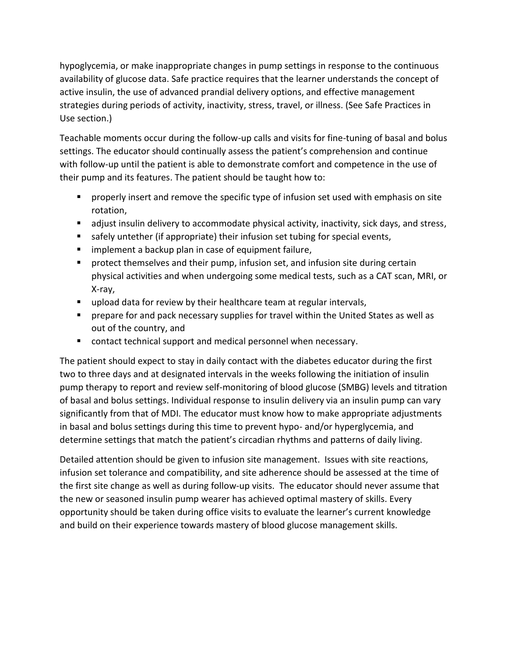hypoglycemia, or make inappropriate changes in pump settings in response to the continuous availability of glucose data. Safe practice requires that the learner understands the concept of active insulin, the use of advanced prandial delivery options, and effective management strategies during periods of activity, inactivity, stress, travel, or illness. (See Safe Practices in Use section.)

Teachable moments occur during the follow-up calls and visits for fine-tuning of basal and bolus settings. The educator should continually assess the patient's comprehension and continue with follow-up until the patient is able to demonstrate comfort and competence in the use of their pump and its features. The patient should be taught how to:

- **Peroperly insert and remove the specific type of infusion set used with emphasis on site** rotation,
- adjust insulin delivery to accommodate physical activity, inactivity, sick days, and stress,
- safely untether (if appropriate) their infusion set tubing for special events,
- **F** implement a backup plan in case of equipment failure,
- **Perotemal incore incore and their pump, infusion set, and infusion site during certain** physical activities and when undergoing some medical tests, such as a CAT scan, MRI, or X-ray,
- **upload data for review by their healthcare team at regular intervals,**
- **Permanue Forms and pack necessary supplies for travel within the United States as well as** out of the country, and
- contact technical support and medical personnel when necessary.

The patient should expect to stay in daily contact with the diabetes educator during the first two to three days and at designated intervals in the weeks following the initiation of insulin pump therapy to report and review self-monitoring of blood glucose (SMBG) levels and titration of basal and bolus settings. Individual response to insulin delivery via an insulin pump can vary significantly from that of MDI. The educator must know how to make appropriate adjustments in basal and bolus settings during this time to prevent hypo- and/or hyperglycemia, and determine settings that match the patient's circadian rhythms and patterns of daily living.

Detailed attention should be given to infusion site management. Issues with site reactions, infusion set tolerance and compatibility, and site adherence should be assessed at the time of the first site change as well as during follow-up visits. The educator should never assume that the new or seasoned insulin pump wearer has achieved optimal mastery of skills. Every opportunity should be taken during office visits to evaluate the learner's current knowledge and build on their experience towards mastery of blood glucose management skills.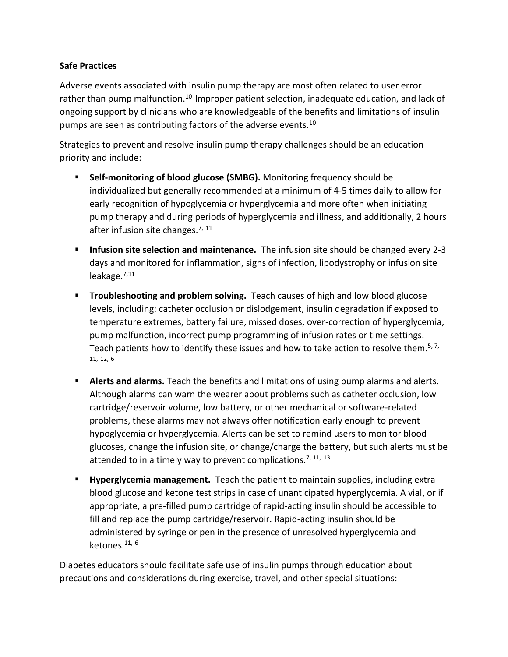#### **Safe Practices**

Adverse events associated with insulin pump therapy are most often related to user error rather than pump malfunction.<sup>[10](#page-10-9)</sup> Improper patient selection, inadequate education, and lack of ongoing support by clinicians who are knowledgeable of the benefits and limitations of insulin pumps are seen as contributing factors of the adverse events.[10](#page-10-9)

Strategies to prevent and resolve insulin pump therapy challenges should be an education priority and include:

- **Self-monitoring of blood glucose (SMBG).** Monitoring frequency should be individualized but generally recommended at a minimum of 4-5 times daily to allow for early recognition of hypoglycemia or hyperglycemia and more often when initiating pump therapy and during periods of hyperglycemia and illness, and additionally, 2 hours after infusion site changes.<sup>[7,](#page-10-6) [11](#page-10-10)</sup>
- **Infusion site selection and maintenance.** The infusion site should be changed every 2-3 days and monitored for inflammation, signs of infection, lipodystrophy or infusion site leakage. $^{7,11}$  $^{7,11}$  $^{7,11}$  $^{7,11}$
- **Troubleshooting and problem solving.** Teach causes of high and low blood glucose levels, including: catheter occlusion or dislodgement, insulin degradation if exposed to temperature extremes, battery failure, missed doses, over-correction of hyperglycemia, pump malfunction, incorrect pump programming of infusion rates or time settings. Teach patients how to identify these issues and how to take action to resolve them.<sup>5[, 7,](#page-10-6)</sup> [11,](#page-10-10) [12,](#page-10-11) [6](#page-10-5)
- **Alerts and alarms.** Teach the benefits and limitations of using pump alarms and alerts. Although alarms can warn the wearer about problems such as catheter occlusion, low cartridge/reservoir volume, low battery, or other mechanical or software-related problems, these alarms may not always offer notification early enough to prevent hypoglycemia or hyperglycemia. Alerts can be set to remind users to monitor blood glucoses, change the infusion site, or change/charge the battery, but such alerts must be attended to in a timely way to prevent complications.<sup>[7,](#page-10-6) [11,](#page-10-10) [13](#page-10-12)</sup>
- **Hyperglycemia management.** Teach the patient to maintain supplies, including extra blood glucose and ketone test strips in case of unanticipated hyperglycemia. A vial, or if appropriate, a pre-filled pump cartridge of rapid-acting insulin should be accessible to fill and replace the pump cartridge/reservoir. Rapid-acting insulin should be administered by syringe or pen in the presence of unresolved hyperglycemia and ketones. $11, 6$  $11, 6$  $11, 6$

Diabetes educators should facilitate safe use of insulin pumps through education about precautions and considerations during exercise, travel, and other special situations: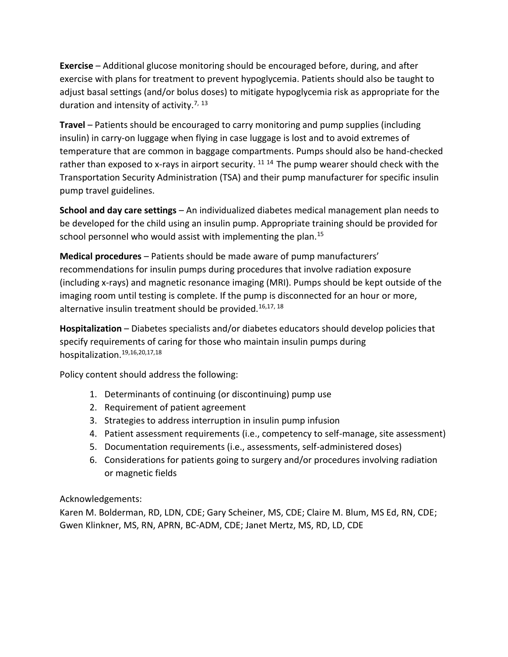**Exercise** – Additional glucose monitoring should be encouraged before, during, and after exercise with plans for treatment to prevent hypoglycemia. Patients should also be taught to adjust basal settings (and/or bolus doses) to mitigate hypoglycemia risk as appropriate for the duration and intensity of activity.<sup>[7,](#page-10-6) [13](#page-10-12)</sup>

**Travel** – Patients should be encouraged to carry monitoring and pump supplies (including insulin) in carry-on luggage when flying in case luggage is lost and to avoid extremes of temperature that are common in baggage compartments. Pumps should also be hand-checked rather than exposed to x-rays in airport security.  $11^{14}$  $11^{14}$  $11^{14}$  $11^{14}$  The pump wearer should check with the Transportation Security Administration (TSA) and their pump manufacturer for specific insulin pump travel guidelines.

**School and day care settings** – An individualized diabetes medical management plan needs to be developed for the child using an insulin pump. Appropriate training should be provided for school personnel who would assist with implementing the plan.<sup>[15](#page-10-14)</sup>

**Medical procedures** – Patients should be made aware of pump manufacturers' recommendations for insulin pumps during procedures that involve radiation exposure (including x-rays) and magnetic resonance imaging (MRI). Pumps should be kept outside of the imaging room until testing is complete. If the pump is disconnected for an hour or more, alternative insulin treatment should be provided.<sup>[16,](#page-10-15)[17,](#page-10-16) [18](#page-11-0)</sup>

**Hospitalization** – Diabetes specialists and/or diabetes educators should develop policies that specify requirements of caring for those who maintain insulin pumps during hospitalization.[19,](#page-11-1)[16,](#page-10-15)[20,](#page-11-2)[17](#page-10-16)[,18](#page-11-0)

Policy content should address the following:

- 1. Determinants of continuing (or discontinuing) pump use
- 2. Requirement of patient agreement
- 3. Strategies to address interruption in insulin pump infusion
- 4. Patient assessment requirements (i.e., competency to self-manage, site assessment)
- 5. Documentation requirements (i.e., assessments, self-administered doses)
- 6. Considerations for patients going to surgery and/or procedures involving radiation or magnetic fields

Acknowledgements:

Karen M. Bolderman, RD, LDN, CDE; Gary Scheiner, MS, CDE; Claire M. Blum, MS Ed, RN, CDE; Gwen Klinkner, MS, RN, APRN, BC-ADM, CDE; Janet Mertz, MS, RD, LD, CDE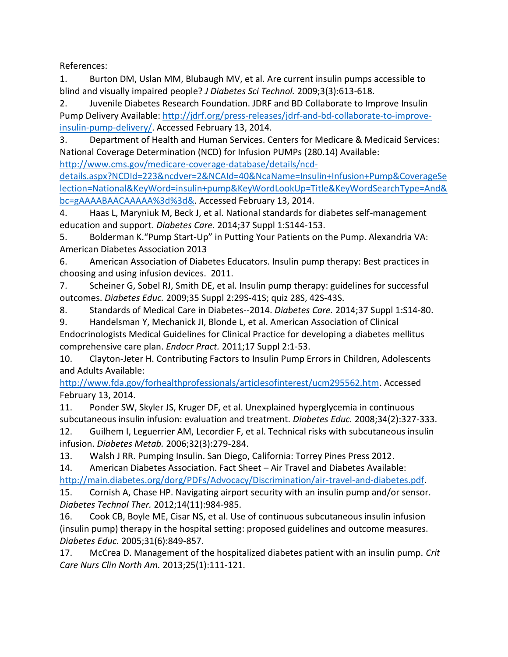References:

<span id="page-10-0"></span>1. Burton DM, Uslan MM, Blubaugh MV, et al. Are current insulin pumps accessible to blind and visually impaired people? *J Diabetes Sci Technol.* 2009;3(3):613-618.

<span id="page-10-1"></span>2. Juvenile Diabetes Research Foundation. JDRF and BD Collaborate to Improve Insulin Pump Delivery Available: [http://jdrf.org/press-releases/jdrf-and-bd-collaborate-to-improve](http://jdrf.org/press-releases/jdrf-and-bd-collaborate-to-improve-insulin-pump-delivery/)[insulin-pump-delivery/.](http://jdrf.org/press-releases/jdrf-and-bd-collaborate-to-improve-insulin-pump-delivery/) Accessed February 13, 2014.

<span id="page-10-2"></span>3. Department of Health and Human Services. Centers for Medicare & Medicaid Services: National Coverage Determination (NCD) for Infusion PUMPs (280.14) Available:

[http://www.cms.gov/medicare-coverage-database/details/ncd-](http://www.cms.gov/medicare-coverage-database/details/ncd-details.aspx?NCDId=223&ncdver=2&NCAId=40&NcaName=Insulin+Infusion+Pump&CoverageSelection=National&KeyWord=insulin+pump&KeyWordLookUp=Title&KeyWordSearchType=And&bc=gAAAABAACAAAAA%3d%3d&)

[details.aspx?NCDId=223&ncdver=2&NCAId=40&NcaName=Insulin+Infusion+Pump&CoverageSe](http://www.cms.gov/medicare-coverage-database/details/ncd-details.aspx?NCDId=223&ncdver=2&NCAId=40&NcaName=Insulin+Infusion+Pump&CoverageSelection=National&KeyWord=insulin+pump&KeyWordLookUp=Title&KeyWordSearchType=And&bc=gAAAABAACAAAAA%3d%3d&) [lection=National&KeyWord=insulin+pump&KeyWordLookUp=Title&KeyWordSearchType=And&](http://www.cms.gov/medicare-coverage-database/details/ncd-details.aspx?NCDId=223&ncdver=2&NCAId=40&NcaName=Insulin+Infusion+Pump&CoverageSelection=National&KeyWord=insulin+pump&KeyWordLookUp=Title&KeyWordSearchType=And&bc=gAAAABAACAAAAA%3d%3d&) [bc=gAAAABAACAAAAA%3d%3d&.](http://www.cms.gov/medicare-coverage-database/details/ncd-details.aspx?NCDId=223&ncdver=2&NCAId=40&NcaName=Insulin+Infusion+Pump&CoverageSelection=National&KeyWord=insulin+pump&KeyWordLookUp=Title&KeyWordSearchType=And&bc=gAAAABAACAAAAA%3d%3d&) Accessed February 13, 2014.

<span id="page-10-3"></span>4. Haas L, Maryniuk M, Beck J, et al. National standards for diabetes self-management education and support. *Diabetes Care.* 2014;37 Suppl 1:S144-153.

<span id="page-10-4"></span>5. Bolderman K."Pump Start-Up" in Putting Your Patients on the Pump. Alexandria VA: American Diabetes Association 2013

<span id="page-10-5"></span>6. American Association of Diabetes Educators. Insulin pump therapy: Best practices in choosing and using infusion devices. 2011.

<span id="page-10-6"></span>7. Scheiner G, Sobel RJ, Smith DE, et al. Insulin pump therapy: guidelines for successful outcomes. *Diabetes Educ.* 2009;35 Suppl 2:29S-41S; quiz 28S, 42S-43S.

<span id="page-10-7"></span>8. Standards of Medical Care in Diabetes--2014. *Diabetes Care.* 2014;37 Suppl 1:S14-80.

<span id="page-10-8"></span>9. Handelsman Y, Mechanick JI, Blonde L, et al. American Association of Clinical Endocrinologists Medical Guidelines for Clinical Practice for developing a diabetes mellitus comprehensive care plan. *Endocr Pract.* 2011;17 Suppl 2:1-53.

<span id="page-10-9"></span>10. Clayton-Jeter H. Contributing Factors to Insulin Pump Errors in Children, Adolescents and Adults Available:

[http://www.fda.gov/forhealthprofessionals/articlesofinterest/ucm295562.htm.](http://www.fda.gov/forhealthprofessionals/articlesofinterest/ucm295562.htm) Accessed February 13, 2014.

<span id="page-10-10"></span>11. Ponder SW, Skyler JS, Kruger DF, et al. Unexplained hyperglycemia in continuous subcutaneous insulin infusion: evaluation and treatment. *Diabetes Educ.* 2008;34(2):327-333.

<span id="page-10-11"></span>12. Guilhem I, Leguerrier AM, Lecordier F, et al. Technical risks with subcutaneous insulin infusion. *Diabetes Metab.* 2006;32(3):279-284.

<span id="page-10-12"></span>13. Walsh J RR. Pumping Insulin. San Diego, California: Torrey Pines Press 2012.

<span id="page-10-13"></span>14. American Diabetes Association. Fact Sheet – Air Travel and Diabetes Available:

[http://main.diabetes.org/dorg/PDFs/Advocacy/Discrimination/air-travel-and-diabetes.pdf.](http://main.diabetes.org/dorg/PDFs/Advocacy/Discrimination/air-travel-and-diabetes.pdf)

<span id="page-10-14"></span>15. Cornish A, Chase HP. Navigating airport security with an insulin pump and/or sensor. *Diabetes Technol Ther.* 2012;14(11):984-985.

<span id="page-10-15"></span>16. Cook CB, Boyle ME, Cisar NS, et al. Use of continuous subcutaneous insulin infusion (insulin pump) therapy in the hospital setting: proposed guidelines and outcome measures. *Diabetes Educ.* 2005;31(6):849-857.

<span id="page-10-16"></span>17. McCrea D. Management of the hospitalized diabetes patient with an insulin pump. *Crit Care Nurs Clin North Am.* 2013;25(1):111-121.